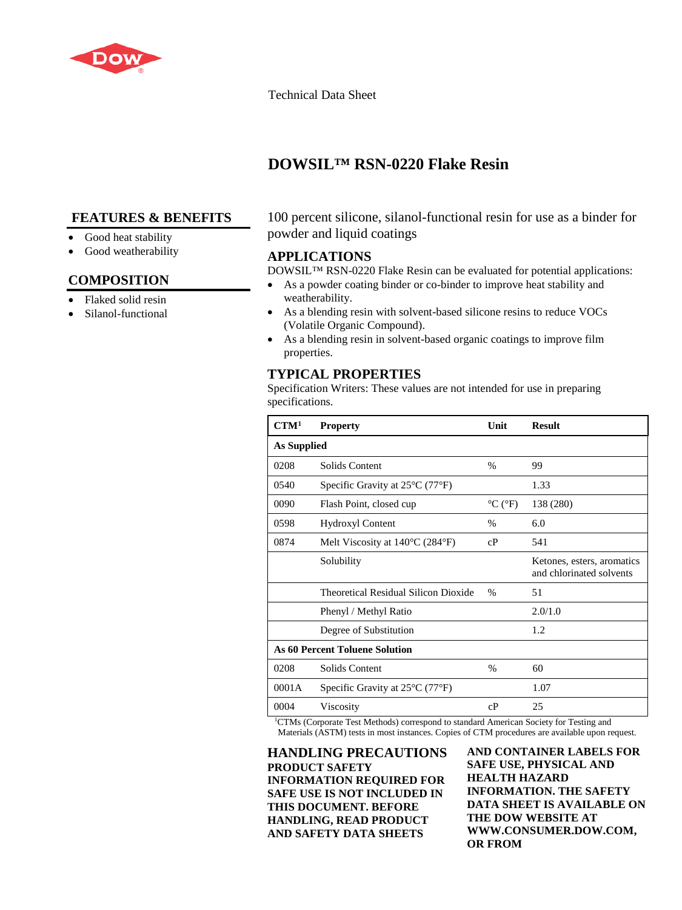

### Technical Data Sheet

# **DOWSIL™ RSN-0220 Flake Resin**

# **FEATURES & BENEFITS**

### Good heat stability

Good weatherability

# **COMPOSITION**

- Flaked solid resin
- Silanol-functional

100 percent silicone, silanol-functional resin for use as a binder for powder and liquid coatings

### **APPLICATIONS**

DOWSIL™ RSN-0220 Flake Resin can be evaluated for potential applications:

- As a powder coating binder or co-binder to improve heat stability and weatherability.
- As a blending resin with solvent-based silicone resins to reduce VOCs (Volatile Organic Compound).
- As a blending resin in solvent-based organic coatings to improve film properties.

# **TYPICAL PROPERTIES**

Specification Writers: These values are not intended for use in preparing specifications.

| CTM <sup>1</sup>                      | <b>Property</b>                                      | Unit                                  | <b>Result</b>                                          |
|---------------------------------------|------------------------------------------------------|---------------------------------------|--------------------------------------------------------|
| As Supplied                           |                                                      |                                       |                                                        |
| 0208                                  | Solids Content                                       | $\%$                                  | 99                                                     |
| 0540                                  | Specific Gravity at $25^{\circ}$ C (77 $^{\circ}$ F) |                                       | 1.33                                                   |
| 0090                                  | Flash Point, closed cup                              | $\rm{^{\circ}C}$ ( $\rm{^{\circ}F}$ ) | 138 (280)                                              |
| 0598                                  | Hydroxyl Content                                     | $\frac{0}{0}$                         | 6.0                                                    |
| 0874                                  | Melt Viscosity at $140^{\circ}$ C (284 $^{\circ}$ F) | cP                                    | 541                                                    |
|                                       | Solubility                                           |                                       | Ketones, esters, aromatics<br>and chlorinated solvents |
|                                       | Theoretical Residual Silicon Dioxide                 | $\frac{0}{0}$                         | 51                                                     |
|                                       | Phenyl / Methyl Ratio                                |                                       | 2.0/1.0                                                |
|                                       | Degree of Substitution                               |                                       | 1.2                                                    |
| <b>As 60 Percent Toluene Solution</b> |                                                      |                                       |                                                        |
| 0208                                  | Solids Content                                       | $\%$                                  | 60                                                     |
| 0001A                                 | Specific Gravity at $25^{\circ}$ C (77 $^{\circ}$ F) |                                       | 1.07                                                   |
| 0004                                  | Viscosity                                            | cP                                    | 25                                                     |

1 CTMs (Corporate Test Methods) correspond to standard American Society for Testing and Materials (ASTM) tests in most instances. Copies of CTM procedures are available upon request.

**HANDLING PRECAUTIONS PRODUCT SAFETY INFORMATION REQUIRED FOR SAFE USE IS NOT INCLUDED IN THIS DOCUMENT. BEFORE HANDLING, READ PRODUCT AND SAFETY DATA SHEETS**

**AND CONTAINER LABELS FOR SAFE USE, PHYSICAL AND HEALTH HAZARD INFORMATION. THE SAFETY DATA SHEET IS AVAILABLE ON THE DOW WEBSITE AT WWW.CONSUMER.DOW.COM, OR FROM**